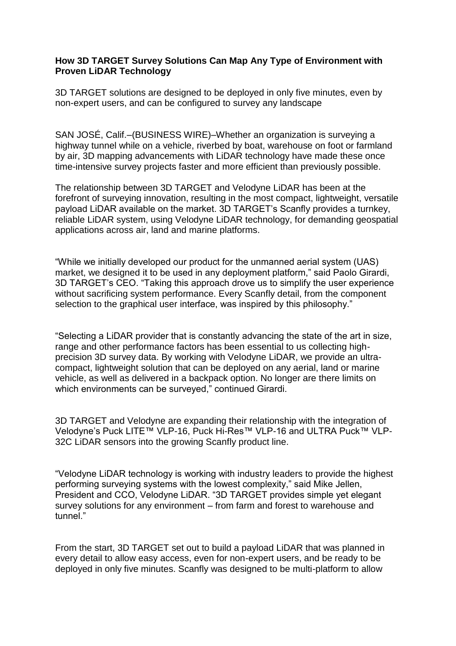## **How 3D TARGET Survey Solutions Can Map Any Type of Environment with Proven LiDAR Technology**

3D TARGET solutions are designed to be deployed in only five minutes, even by non-expert users, and can be configured to survey any landscape

SAN JOSÉ, Calif.–(BUSINESS WIRE)–Whether an organization is surveying a highway tunnel while on a vehicle, riverbed by boat, warehouse on foot or farmland by air, 3D mapping advancements with LiDAR technology have made these once time-intensive survey projects faster and more efficient than previously possible.

The relationship between 3D TARGET and Velodyne LiDAR has been at the forefront of surveying innovation, resulting in the most compact, lightweight, versatile payload LiDAR available on the market. 3D TARGET's Scanfly provides a turnkey, reliable LiDAR system, using Velodyne LiDAR technology, for demanding geospatial applications across air, land and marine platforms.

"While we initially developed our product for the unmanned aerial system (UAS) market, we designed it to be used in any deployment platform," said Paolo Girardi, 3D TARGET's CEO. "Taking this approach drove us to simplify the user experience without sacrificing system performance. Every Scanfly detail, from the component selection to the graphical user interface, was inspired by this philosophy."

"Selecting a LiDAR provider that is constantly advancing the state of the art in size, range and other performance factors has been essential to us collecting highprecision 3D survey data. By working with Velodyne LiDAR, we provide an ultracompact, lightweight solution that can be deployed on any aerial, land or marine vehicle, as well as delivered in a backpack option. No longer are there limits on which environments can be surveyed," continued Girardi.

3D TARGET and Velodyne are expanding their relationship with the integration of Velodyne's Puck LITE™ VLP-16, Puck Hi-Res™ VLP-16 and ULTRA Puck™ VLP-32C LiDAR sensors into the growing Scanfly product line.

"Velodyne LiDAR technology is working with industry leaders to provide the highest performing surveying systems with the lowest complexity," said Mike Jellen, President and CCO, Velodyne LiDAR. "3D TARGET provides simple yet elegant survey solutions for any environment – from farm and forest to warehouse and tunnel."

From the start, 3D TARGET set out to build a payload LiDAR that was planned in every detail to allow easy access, even for non-expert users, and be ready to be deployed in only five minutes. Scanfly was designed to be multi-platform to allow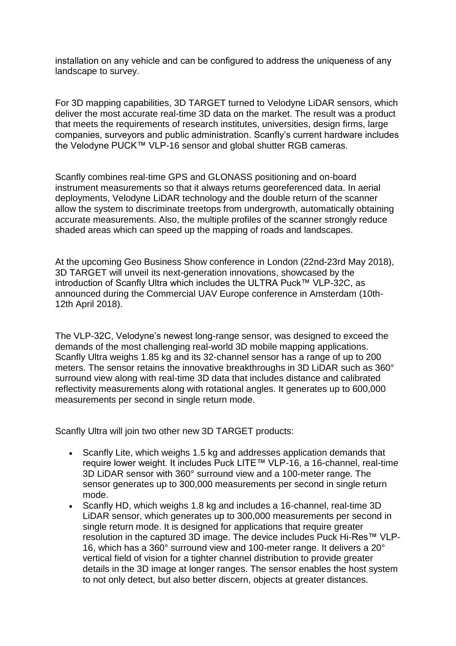installation on any vehicle and can be configured to address the uniqueness of any landscape to survey.

For 3D mapping capabilities, 3D TARGET turned to Velodyne LiDAR sensors, which deliver the most accurate real-time 3D data on the market. The result was a product that meets the requirements of research institutes, universities, design firms, large companies, surveyors and public administration. Scanfly's current hardware includes the Velodyne PUCK™ VLP-16 sensor and global shutter RGB cameras.

Scanfly combines real-time GPS and GLONASS positioning and on-board instrument measurements so that it always returns georeferenced data. In aerial deployments, Velodyne LiDAR technology and the double return of the scanner allow the system to discriminate treetops from undergrowth, automatically obtaining accurate measurements. Also, the multiple profiles of the scanner strongly reduce shaded areas which can speed up the mapping of roads and landscapes.

At the upcoming Geo Business Show conference in London (22nd-23rd May 2018), 3D TARGET will unveil its next-generation innovations, showcased by the introduction of Scanfly Ultra which includes the ULTRA Puck™ VLP-32C, as announced during the Commercial UAV Europe conference in Amsterdam (10th-12th April 2018).

The VLP-32C, Velodyne's newest long-range sensor, was designed to exceed the demands of the most challenging real-world 3D mobile mapping applications. Scanfly Ultra weighs 1.85 kg and its 32-channel sensor has a range of up to 200 meters. The sensor retains the innovative breakthroughs in 3D LiDAR such as 360° surround view along with real-time 3D data that includes distance and calibrated reflectivity measurements along with rotational angles. It generates up to 600,000 measurements per second in single return mode.

Scanfly Ultra will join two other new 3D TARGET products:

- Scanfly Lite, which weighs 1.5 kg and addresses application demands that require lower weight. It includes Puck LITE™ VLP-16, a 16-channel, real-time 3D LiDAR sensor with 360° surround view and a 100-meter range. The sensor generates up to 300,000 measurements per second in single return mode.
- Scanfly HD, which weighs 1.8 kg and includes a 16-channel, real-time 3D LiDAR sensor, which generates up to 300,000 measurements per second in single return mode. It is designed for applications that require greater resolution in the captured 3D image. The device includes Puck Hi-Res™ VLP-16, which has a 360° surround view and 100-meter range. It delivers a 20° vertical field of vision for a tighter channel distribution to provide greater details in the 3D image at longer ranges. The sensor enables the host system to not only detect, but also better discern, objects at greater distances.